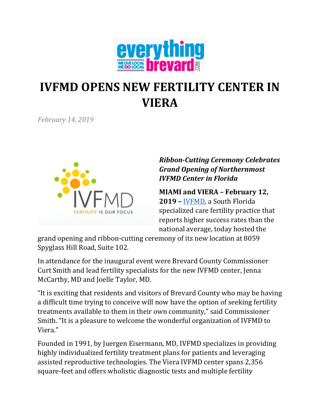

# **IVFMD OPENS NEW FERTILITY CENTER IN VIERA**

*February 14, 2019*



## *Ribbon-Cutting Ceremony Celebrates Grand Opening of Northernmost IVFMD Center in Florida*

**MIAMI and VIERA – February 12, 2019 –** [IVFMD,](https://www.ivfmd.com/) a South Florida specialized care fertility practice that reports higher success rates than the national average, today hosted the

grand opening and ribbon-cutting ceremony of its new location at 8059 Spyglass Hill Road, Suite 102.

In attendance for the inaugural event were Brevard County Commissioner Curt Smith and lead fertility specialists for the new IVFMD center, Jenna McCarthy, MD and Joelle Taylor, MD.

"It is exciting that residents and visitors of Brevard County who may be having a difficult time trying to conceive will now have the option of seeking fertility treatments available to them in their own community," said Commissioner Smith. "It is a pleasure to welcome the wonderful organization of IVFMD to Viera."

Founded in 1991, by Juergen Eisermann, MD, IVFMD specializes in providing highly individualized fertility treatment plans for patients and leveraging assisted reproductive technologies. The Viera IVFMD center spans 2,356 square-feet and offers wholistic diagnostic tests and multiple fertility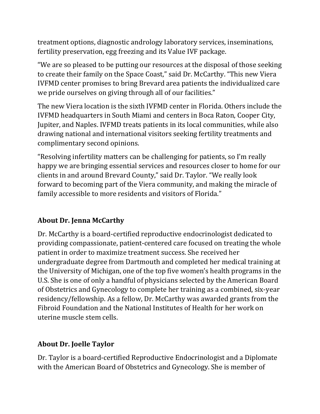treatment options, diagnostic andrology laboratory services, inseminations, fertility preservation, egg freezing and its Value IVF package.

"We are so pleased to be putting our resources at the disposal of those seeking to create their family on the Space Coast," said Dr. McCarthy. "This new Viera IVFMD center promises to bring Brevard area patients the individualized care we pride ourselves on giving through all of our facilities."

The new Viera location is the sixth IVFMD center in Florida. Others include the IVFMD headquarters in South Miami and centers in Boca Raton, Cooper City, Jupiter, and Naples. IVFMD treats patients in its local communities, while also drawing national and international visitors seeking fertility treatments and complimentary second opinions.

"Resolving infertility matters can be challenging for patients, so I'm really happy we are bringing essential services and resources closer to home for our clients in and around Brevard County," said Dr. Taylor. "We really look forward to becoming part of the Viera community, and making the miracle of family accessible to more residents and visitors of Florida."

## **About Dr. Jenna McCarthy**

Dr. McCarthy is a board-certified reproductive endocrinologist dedicated to providing compassionate, patient-centered care focused on treating the whole patient in order to maximize treatment success. She received her undergraduate degree from Dartmouth and completed her medical training at the University of Michigan, one of the top five women's health programs in the U.S. She is one of only a handful of physicians selected by the American Board of Obstetrics and Gynecology to complete her training as a combined, six-year residency/fellowship. As a fellow, Dr. McCarthy was awarded grants from the Fibroid Foundation and the National Institutes of Health for her work on uterine muscle stem cells.

## **About Dr. Joelle Taylor**

Dr. Taylor is a board-certified Reproductive Endocrinologist and a Diplomate with the American Board of Obstetrics and Gynecology. She is member of